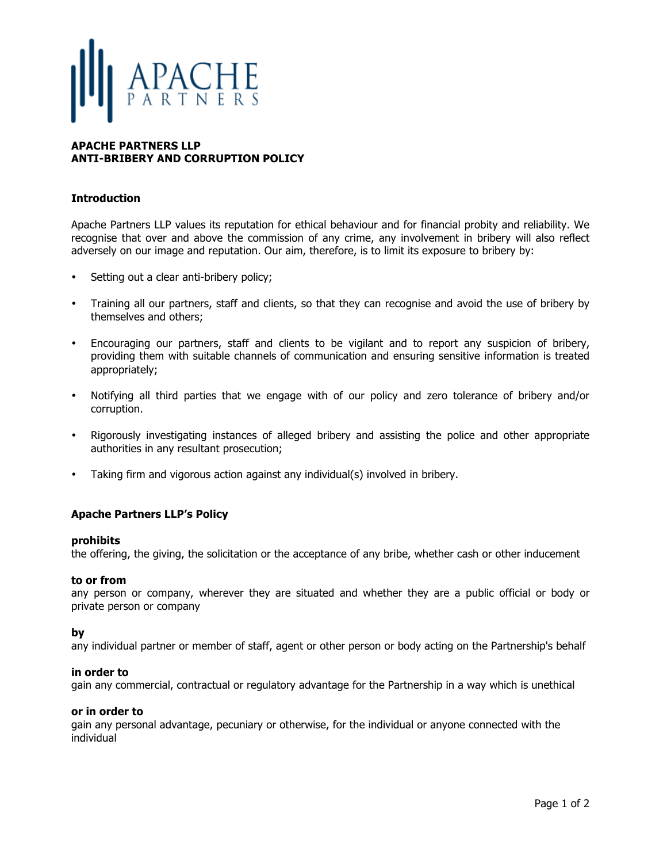# APACHE

# **APACHE PARTNERS LLP ANTI-BRIBERY AND CORRUPTION POLICY**

# **Introduction**

Apache Partners LLP values its reputation for ethical behaviour and for financial probity and reliability. We recognise that over and above the commission of any crime, any involvement in bribery will also reflect adversely on our image and reputation. Our aim, therefore, is to limit its exposure to bribery by:

- Setting out a clear anti-bribery policy;
- Training all our partners, staff and clients, so that they can recognise and avoid the use of bribery by themselves and others;
- Encouraging our partners, staff and clients to be vigilant and to report any suspicion of bribery, providing them with suitable channels of communication and ensuring sensitive information is treated appropriately;
- Notifying all third parties that we engage with of our policy and zero tolerance of bribery and/or corruption.
- Rigorously investigating instances of alleged bribery and assisting the police and other appropriate authorities in any resultant prosecution;
- Taking firm and vigorous action against any individual(s) involved in bribery.

## **Apache Partners LLP's Policy**

## **prohibits**

the offering, the giving, the solicitation or the acceptance of any bribe, whether cash or other inducement

### **to or from**

any person or company, wherever they are situated and whether they are a public official or body or private person or company

### **by**

any individual partner or member of staff, agent or other person or body acting on the Partnership's behalf

### **in order to**

gain any commercial, contractual or regulatory advantage for the Partnership in a way which is unethical

### **or in order to**

gain any personal advantage, pecuniary or otherwise, for the individual or anyone connected with the individual